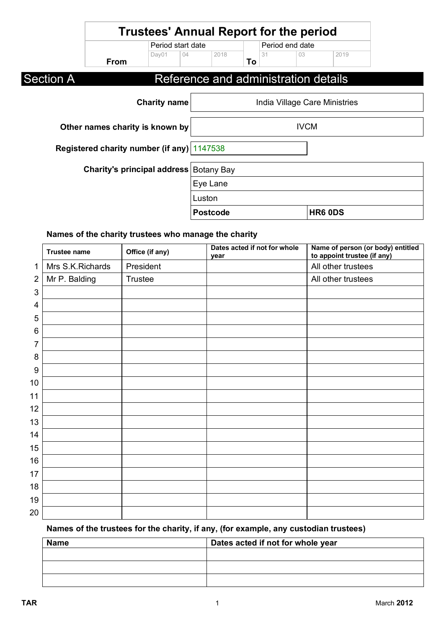|                  | <b>Trustees' Annual Report for the period</b> |                     |          |                 |    |                 |                                      |                               |  |
|------------------|-----------------------------------------------|---------------------|----------|-----------------|----|-----------------|--------------------------------------|-------------------------------|--|
|                  |                                               | Period start date   |          |                 |    | Period end date |                                      |                               |  |
|                  | <b>From</b>                                   | Day01               | 04       | 2018            | To | 31              | 03                                   | 2019                          |  |
| <b>Section A</b> |                                               |                     |          |                 |    |                 | Reference and administration details |                               |  |
|                  |                                               | <b>Charity name</b> |          |                 |    |                 |                                      | India Village Care Ministries |  |
|                  | Other names charity is known by               |                     |          |                 |    |                 | <b>IVCM</b>                          |                               |  |
|                  | Registered charity number (if any) 1147538    |                     |          |                 |    |                 |                                      |                               |  |
|                  | <b>Charity's principal address Botany Bay</b> |                     |          |                 |    |                 |                                      |                               |  |
|                  |                                               |                     | Eye Lane |                 |    |                 |                                      |                               |  |
|                  |                                               |                     | Luston   |                 |    |                 |                                      |                               |  |
|                  |                                               |                     |          | <b>Postcode</b> |    |                 |                                      | HR6 0DS                       |  |

# **Names of the charity trustees who manage the charity**

|                | <b>Trustee name</b> | Office (if any) | Dates acted if not for whole<br>year | Name of person (or body) entitled<br>to appoint trustee (if any) |
|----------------|---------------------|-----------------|--------------------------------------|------------------------------------------------------------------|
| $\mathbf{1}$   | Mrs S.K.Richards    | President       |                                      | All other trustees                                               |
| $\overline{2}$ | Mr P. Balding       | Trustee         |                                      | All other trustees                                               |
| 3              |                     |                 |                                      |                                                                  |
| 4              |                     |                 |                                      |                                                                  |
| 5              |                     |                 |                                      |                                                                  |
| 6              |                     |                 |                                      |                                                                  |
| 7              |                     |                 |                                      |                                                                  |
| 8              |                     |                 |                                      |                                                                  |
| 9              |                     |                 |                                      |                                                                  |
| 10             |                     |                 |                                      |                                                                  |
| 11             |                     |                 |                                      |                                                                  |
| 12             |                     |                 |                                      |                                                                  |
| 13             |                     |                 |                                      |                                                                  |
| 14             |                     |                 |                                      |                                                                  |
| 15             |                     |                 |                                      |                                                                  |
| 16             |                     |                 |                                      |                                                                  |
| 17             |                     |                 |                                      |                                                                  |
| 18             |                     |                 |                                      |                                                                  |
| 19             |                     |                 |                                      |                                                                  |
| 20             |                     |                 |                                      |                                                                  |

# **Names of the trustees for the charity, if any, (for example, any custodian trustees)**

| <b>Name</b> | Dates acted if not for whole year |  |  |
|-------------|-----------------------------------|--|--|
|             |                                   |  |  |
|             |                                   |  |  |
|             |                                   |  |  |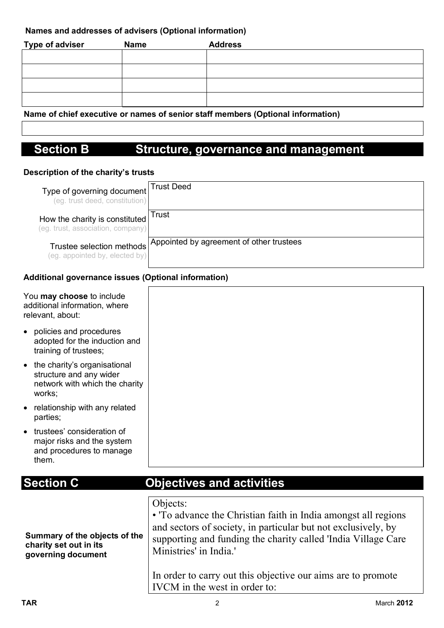### **Names and addresses of advisers (Optional information)**

| <b>Type of adviser</b> | <b>Name</b> | <b>Address</b> |
|------------------------|-------------|----------------|
|                        |             |                |
|                        |             |                |
|                        |             |                |
|                        |             |                |

**Name of chief executive or names of senior staff members (Optional information)**

# **Section B Structure, governance and management**

### **Description of the charity's trusts**

| Type of governing document<br>(eg. trust deed, constitution)        | <b>Trust Deed</b>                        |
|---------------------------------------------------------------------|------------------------------------------|
| How the charity is constituted<br>(eg. trust, association, company) | Trust                                    |
| Trustee selection methods<br>(eg. appointed by, elected by)         | Appointed by agreement of other trustees |

### **Additional governance issues (Optional information)**

| You may choose to include<br>additional information, where<br>relevant, about:                        |                                                                                                                                                                                                                                                                                                                                        |
|-------------------------------------------------------------------------------------------------------|----------------------------------------------------------------------------------------------------------------------------------------------------------------------------------------------------------------------------------------------------------------------------------------------------------------------------------------|
| policies and procedures<br>adopted for the induction and<br>training of trustees;                     |                                                                                                                                                                                                                                                                                                                                        |
| • the charity's organisational<br>structure and any wider<br>network with which the charity<br>works; |                                                                                                                                                                                                                                                                                                                                        |
| relationship with any related<br>parties;                                                             |                                                                                                                                                                                                                                                                                                                                        |
| trustees' consideration of<br>major risks and the system<br>and procedures to manage<br>them.         |                                                                                                                                                                                                                                                                                                                                        |
| <b>Section C</b>                                                                                      | <b>Objectives and activities</b>                                                                                                                                                                                                                                                                                                       |
| Summary of the objects of the<br>charity set out in its<br>governing document                         | Objects:<br>• To advance the Christian faith in India amongst all regions<br>and sectors of society, in particular but not exclusively, by<br>supporting and funding the charity called 'India Village Care<br>Ministries' in India.'<br>In order to carry out this objective our aims are to promote<br>IVCM in the west in order to: |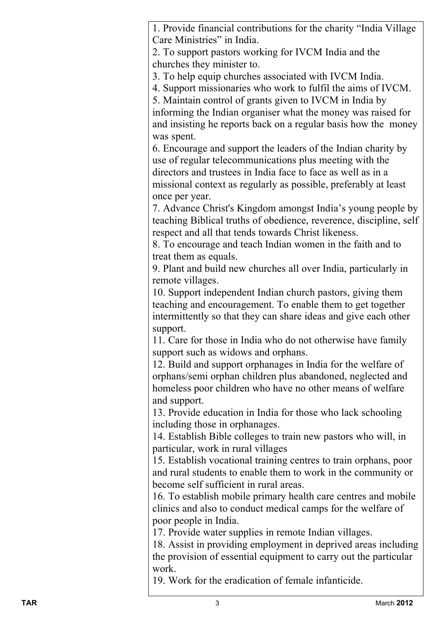1. Provide financial contributions for the charity "India Village Care Ministries" in India.

2. To support pastors working for IVCM India and the churches they minister to.

3. To help equip churches associated with IVCM India.

4. Support missionaries who work to fulfil the aims of IVCM.

5. Maintain control of grants given to IVCM in India by

informing the Indian organiser what the money was raised for and insisting he reports back on a regular basis how the money was spent.

6. Encourage and support the leaders of the Indian charity by use of regular telecommunications plus meeting with the directors and trustees in India face to face as well as in a missional context as regularly as possible, preferably at least once per year.

7. Advance Christ's Kingdom amongst India's young people by teaching Biblical truths of obedience, reverence, discipline, self respect and all that tends towards Christ likeness.

8. To encourage and teach Indian women in the faith and to treat them as equals.

9. Plant and build new churches all over India, particularly in remote villages.

10. Support independent Indian church pastors, giving them teaching and encouragement. To enable them to get together intermittently so that they can share ideas and give each other support.

11. Care for those in India who do not otherwise have family support such as widows and orphans.

12. Build and support orphanages in India for the welfare of orphans/semi orphan children plus abandoned, neglected and homeless poor children who have no other means of welfare and support.

13. Provide education in India for those who lack schooling including those in orphanages.

14. Establish Bible colleges to train new pastors who will, in particular, work in rural villages

15. Establish vocational training centres to train orphans, poor and rural students to enable them to work in the community or become self sufficient in rural areas.

16. To establish mobile primary health care centres and mobile clinics and also to conduct medical camps for the welfare of poor people in India.

17. Provide water supplies in remote Indian villages.

18. Assist in providing employment in deprived areas including the provision of essential equipment to carry out the particular work.

19. Work for the eradication of female infanticide.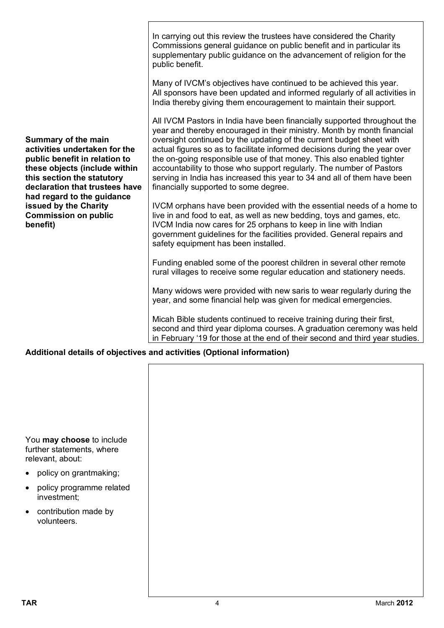|                                                                                                                                                                                                                             | In carrying out this review the trustees have considered the Charity<br>Commissions general guidance on public benefit and in particular its<br>supplementary public guidance on the advancement of religion for the<br>public benefit.<br>Many of IVCM's objectives have continued to be achieved this year.<br>All sponsors have been updated and informed regularly of all activities in                                                                                                                                                                                     |  |  |  |
|-----------------------------------------------------------------------------------------------------------------------------------------------------------------------------------------------------------------------------|---------------------------------------------------------------------------------------------------------------------------------------------------------------------------------------------------------------------------------------------------------------------------------------------------------------------------------------------------------------------------------------------------------------------------------------------------------------------------------------------------------------------------------------------------------------------------------|--|--|--|
|                                                                                                                                                                                                                             | India thereby giving them encouragement to maintain their support.                                                                                                                                                                                                                                                                                                                                                                                                                                                                                                              |  |  |  |
| <b>Summary of the main</b><br>activities undertaken for the<br>public benefit in relation to<br>these objects (include within<br>this section the statutory<br>declaration that trustees have<br>had regard to the guidance | All IVCM Pastors in India have been financially supported throughout the<br>year and thereby encouraged in their ministry. Month by month financial<br>oversight continued by the updating of the current budget sheet with<br>actual figures so as to facilitate informed decisions during the year over<br>the on-going responsible use of that money. This also enabled tighter<br>accountability to those who support regularly. The number of Pastors<br>serving in India has increased this year to 34 and all of them have been<br>financially supported to some degree. |  |  |  |
| issued by the Charity<br><b>Commission on public</b><br>benefit)                                                                                                                                                            | IVCM orphans have been provided with the essential needs of a home to<br>live in and food to eat, as well as new bedding, toys and games, etc.<br>IVCM India now cares for 25 orphans to keep in line with Indian<br>government guidelines for the facilities provided. General repairs and<br>safety equipment has been installed.                                                                                                                                                                                                                                             |  |  |  |
|                                                                                                                                                                                                                             | Funding enabled some of the poorest children in several other remote<br>rural villages to receive some regular education and stationery needs.                                                                                                                                                                                                                                                                                                                                                                                                                                  |  |  |  |
|                                                                                                                                                                                                                             | Many widows were provided with new saris to wear regularly during the<br>year, and some financial help was given for medical emergencies.                                                                                                                                                                                                                                                                                                                                                                                                                                       |  |  |  |
|                                                                                                                                                                                                                             | Micah Bible students continued to receive training during their first,<br>second and third year diploma courses. A graduation ceremony was held<br>in February '19 for those at the end of their second and third year studies.                                                                                                                                                                                                                                                                                                                                                 |  |  |  |
| Additional details of objectives and activities (Optional information)                                                                                                                                                      |                                                                                                                                                                                                                                                                                                                                                                                                                                                                                                                                                                                 |  |  |  |

You **may choose** to include further statements, where relevant, about:

- policy on grantmaking;
- policy programme related investment;
- contribution made by volunteers.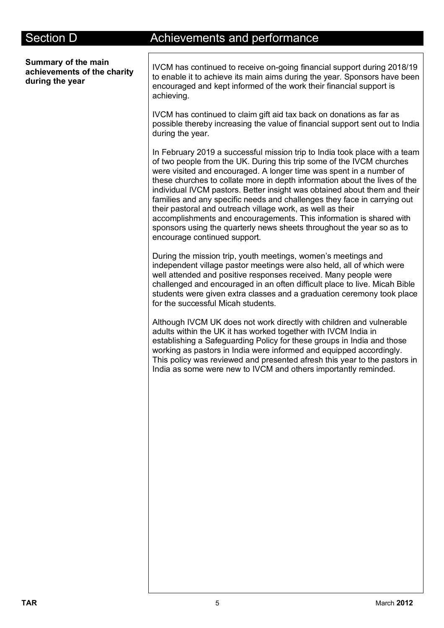**Summary of the main achievements of the charity during the year**

# Section D **Achievements** and performance

IVCM has continued to receive on-going financial support during 2018/19 to enable it to achieve its main aims during the year. Sponsors have been encouraged and kept informed of the work their financial support is achieving.

IVCM has continued to claim gift aid tax back on donations as far as possible thereby increasing the value of financial support sent out to India during the year.

In February 2019 a successful mission trip to India took place with a team of two people from the UK. During this trip some of the IVCM churches were visited and encouraged. A longer time was spent in a number of these churches to collate more in depth information about the lives of the individual IVCM pastors. Better insight was obtained about them and their families and any specific needs and challenges they face in carrying out their pastoral and outreach village work, as well as their accomplishments and encouragements. This information is shared with sponsors using the quarterly news sheets throughout the year so as to encourage continued support.

During the mission trip, youth meetings, women's meetings and independent village pastor meetings were also held, all of which were well attended and positive responses received. Many people were challenged and encouraged in an often difficult place to live. Micah Bible students were given extra classes and a graduation ceremony took place for the successful Micah students.

Although IVCM UK does not work directly with children and vulnerable adults within the UK it has worked together with IVCM India in establishing a Safeguarding Policy for these groups in India and those working as pastors in India were informed and equipped accordingly. This policy was reviewed and presented afresh this year to the pastors in India as some were new to IVCM and others importantly reminded.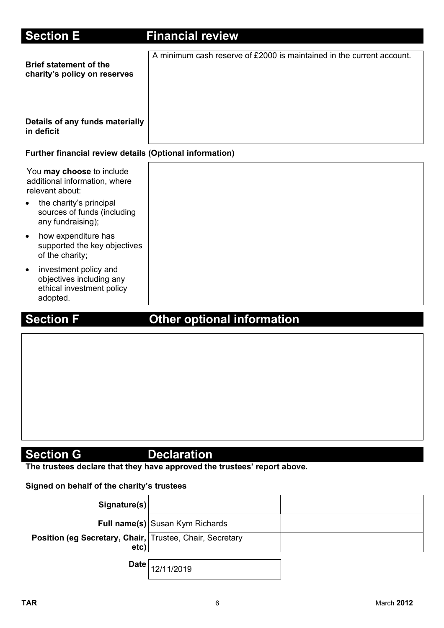| <b>Section E</b>                                                                                        | <b>Financial review</b>                                               |
|---------------------------------------------------------------------------------------------------------|-----------------------------------------------------------------------|
| <b>Brief statement of the</b><br>charity's policy on reserves                                           | A minimum cash reserve of £2000 is maintained in the current account. |
| Details of any funds materially<br>in deficit                                                           |                                                                       |
| <b>Further financial review details (Optional information)</b>                                          |                                                                       |
| You may choose to include<br>additional information, where<br>relevant about:                           |                                                                       |
| the charity's principal<br>$\bullet$<br>sources of funds (including<br>any fundraising);                |                                                                       |
| how expenditure has<br>$\bullet$<br>supported the key objectives<br>of the charity;                     |                                                                       |
| investment policy and<br>$\bullet$<br>objectives including any<br>ethical investment policy<br>adopted. |                                                                       |

# **Section F Other optional information**

# **Section G** Declaration

**The trustees declare that they have approved the trustees' report above.** 

### **Signed on behalf of the charity's trustees**

| Signature(s)                                                     |                                        |  |
|------------------------------------------------------------------|----------------------------------------|--|
|                                                                  | <b>Full name(s)</b> Susan Kym Richards |  |
| Position (eg Secretary, Chair, Trustee, Chair, Secretary<br>etc) |                                        |  |
|                                                                  | Date $\big 12/11/2019\big $            |  |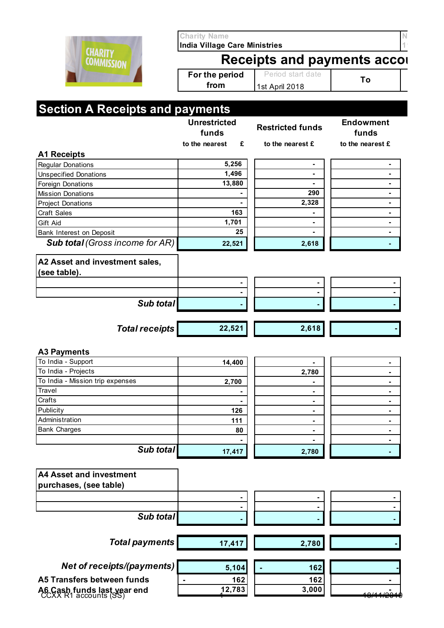|                                                                                                                                                                                                                                                                                | <b>Charity Name</b>                                                        |                         |                           |  |  |
|--------------------------------------------------------------------------------------------------------------------------------------------------------------------------------------------------------------------------------------------------------------------------------|----------------------------------------------------------------------------|-------------------------|---------------------------|--|--|
| <b>CHARITY</b><br><b>COMMISSION</b>                                                                                                                                                                                                                                            | <b>India Village Care Ministries</b><br><b>Receipts and payments accor</b> |                         |                           |  |  |
|                                                                                                                                                                                                                                                                                | For the period<br>from                                                     | Period start date       | To                        |  |  |
|                                                                                                                                                                                                                                                                                |                                                                            | 1st April 2018          |                           |  |  |
| <b>Section A Receipts and payments</b>                                                                                                                                                                                                                                         |                                                                            |                         |                           |  |  |
|                                                                                                                                                                                                                                                                                | <b>Unrestricted</b><br>funds                                               | <b>Restricted funds</b> | <b>Endowment</b><br>funds |  |  |
|                                                                                                                                                                                                                                                                                | to the nearest<br>£                                                        | to the nearest £        | to the nearest £          |  |  |
| <b>A1 Receipts</b>                                                                                                                                                                                                                                                             |                                                                            |                         |                           |  |  |
| <b>Regular Donations</b>                                                                                                                                                                                                                                                       | 5,256                                                                      | ٠                       |                           |  |  |
| <b>Unspecified Donations</b>                                                                                                                                                                                                                                                   | 1,496                                                                      | $\blacksquare$          |                           |  |  |
| <b>Foreign Donations</b>                                                                                                                                                                                                                                                       | 13,880                                                                     |                         |                           |  |  |
| <b>Mission Donations</b>                                                                                                                                                                                                                                                       |                                                                            | 290                     |                           |  |  |
| <b>Project Donations</b>                                                                                                                                                                                                                                                       |                                                                            | 2,328                   |                           |  |  |
| <b>Craft Sales</b>                                                                                                                                                                                                                                                             | 163                                                                        |                         |                           |  |  |
| Gift Aid                                                                                                                                                                                                                                                                       | 1,701<br>25                                                                | ۰                       |                           |  |  |
| Bank Interest on Deposit<br><b>Sub total (Gross income for AR)</b>                                                                                                                                                                                                             |                                                                            |                         |                           |  |  |
|                                                                                                                                                                                                                                                                                | 22,521                                                                     | 2,618                   |                           |  |  |
| A2 Asset and investment sales,                                                                                                                                                                                                                                                 |                                                                            |                         |                           |  |  |
| (see table).                                                                                                                                                                                                                                                                   |                                                                            |                         |                           |  |  |
|                                                                                                                                                                                                                                                                                |                                                                            |                         |                           |  |  |
|                                                                                                                                                                                                                                                                                |                                                                            |                         |                           |  |  |
| Sub total                                                                                                                                                                                                                                                                      |                                                                            |                         |                           |  |  |
|                                                                                                                                                                                                                                                                                |                                                                            |                         |                           |  |  |
|                                                                                                                                                                                                                                                                                |                                                                            |                         |                           |  |  |
| <b>Total receipts</b>                                                                                                                                                                                                                                                          | 22,521                                                                     | 2,618                   |                           |  |  |
|                                                                                                                                                                                                                                                                                |                                                                            |                         |                           |  |  |
|                                                                                                                                                                                                                                                                                | 14,400                                                                     | ٠                       | ٠                         |  |  |
|                                                                                                                                                                                                                                                                                |                                                                            | 2,780                   | ٠                         |  |  |
|                                                                                                                                                                                                                                                                                | 2,700                                                                      |                         |                           |  |  |
|                                                                                                                                                                                                                                                                                |                                                                            | ٠                       | ٠                         |  |  |
|                                                                                                                                                                                                                                                                                |                                                                            | ٠                       | ۰                         |  |  |
|                                                                                                                                                                                                                                                                                | 126                                                                        | ۰                       |                           |  |  |
|                                                                                                                                                                                                                                                                                | 111                                                                        | ۰                       |                           |  |  |
|                                                                                                                                                                                                                                                                                | 80                                                                         | ٠                       | ٠                         |  |  |
|                                                                                                                                                                                                                                                                                |                                                                            | ۰                       |                           |  |  |
| Sub total                                                                                                                                                                                                                                                                      | 17,417                                                                     | 2,780                   |                           |  |  |
|                                                                                                                                                                                                                                                                                |                                                                            |                         |                           |  |  |
|                                                                                                                                                                                                                                                                                |                                                                            |                         |                           |  |  |
|                                                                                                                                                                                                                                                                                |                                                                            |                         |                           |  |  |
|                                                                                                                                                                                                                                                                                |                                                                            |                         |                           |  |  |
|                                                                                                                                                                                                                                                                                |                                                                            |                         |                           |  |  |
| Sub total                                                                                                                                                                                                                                                                      |                                                                            |                         |                           |  |  |
|                                                                                                                                                                                                                                                                                |                                                                            |                         |                           |  |  |
| <b>Total payments</b>                                                                                                                                                                                                                                                          | 17,417                                                                     | 2,780                   |                           |  |  |
| <b>A3 Payments</b><br>To India - Support<br>To India - Projects<br>To India - Mission trip expenses<br>Travel<br>Crafts<br>Publicity<br>Administration<br><b>Bank Charges</b><br><b>A4 Asset and investment</b><br>purchases, (see table)<br><b>Net of receipts/(payments)</b> |                                                                            | 162                     |                           |  |  |
|                                                                                                                                                                                                                                                                                | 5,104                                                                      |                         |                           |  |  |
| A5 Transfers between funds<br>A6 Cash funds last year end<br>CCXX R1 accounts (SS)                                                                                                                                                                                             | 162<br>12,783                                                              | 162<br>3,000            |                           |  |  |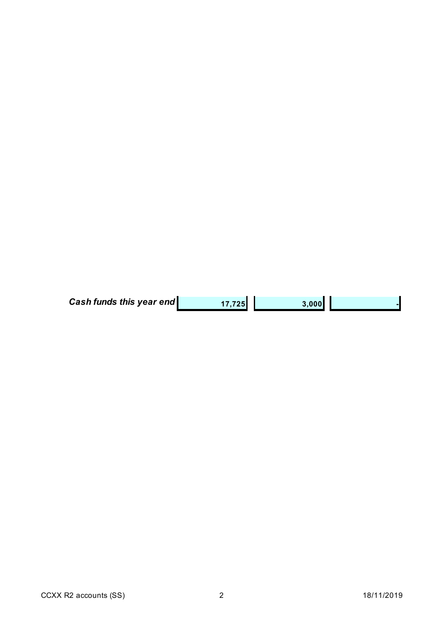| <b>Cash funds this year end</b> | 17,725 | 3,000 |  |
|---------------------------------|--------|-------|--|
|---------------------------------|--------|-------|--|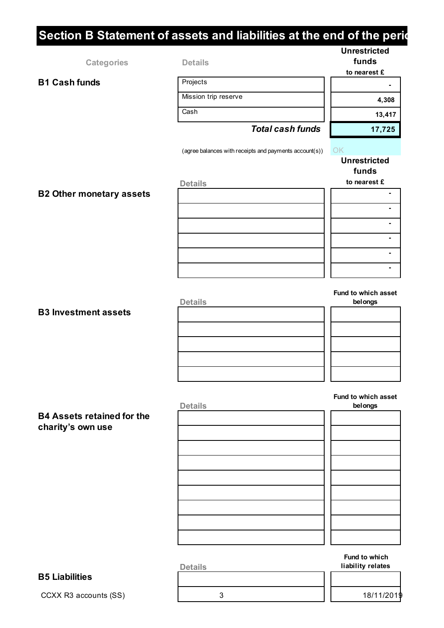# **Section B Statement of assets and liabilities at the end of the periodist**

|                                 |                                                        | <b>Unrestricted</b> |
|---------------------------------|--------------------------------------------------------|---------------------|
| <b>Categories</b>               | <b>Details</b>                                         | funds               |
|                                 |                                                        | to nearest £        |
| <b>B1 Cash funds</b>            | Projects                                               | ۰                   |
|                                 | Mission trip reserve                                   | 4,308               |
|                                 | Cash                                                   | 13,417              |
|                                 | <b>Total cash funds</b>                                | 17,725              |
|                                 | (agree balances with receipts and payments account(s)) | OK                  |
|                                 |                                                        | <b>Unrestricted</b> |
|                                 |                                                        | funds               |
|                                 | <b>Details</b>                                         | to nearest £        |
| <b>B2 Other monetary assets</b> |                                                        | $\blacksquare$      |
|                                 |                                                        | ٠                   |
|                                 |                                                        |                     |
|                                 |                                                        | ۰                   |
|                                 |                                                        | ۰                   |
|                                 |                                                        |                     |
|                                 |                                                        |                     |
|                                 |                                                        | Fund to which asset |
|                                 | <b>Details</b>                                         | belongs             |
| <b>B3 Investment assets</b>     |                                                        |                     |
|                                 |                                                        |                     |
|                                 |                                                        |                     |
|                                 |                                                        |                     |
|                                 |                                                        |                     |

### **B4 Assets retained for the charity's own use**

| <b>Details</b> | belongs |
|----------------|---------|
|                |         |
|                |         |
|                |         |
|                |         |
|                |         |
|                |         |
|                |         |
|                |         |
|                |         |
|                |         |

**Fund to which asset** 

### **B5 Liabilities**

CCXX R3 accounts (SS)  $\begin{array}{ccc} 3 & 3 & 18/11/2019 \\ 1 & 18/11/2019 & 18/11/2019 \\ \end{array}$ 

**Fund to which Details liability relates**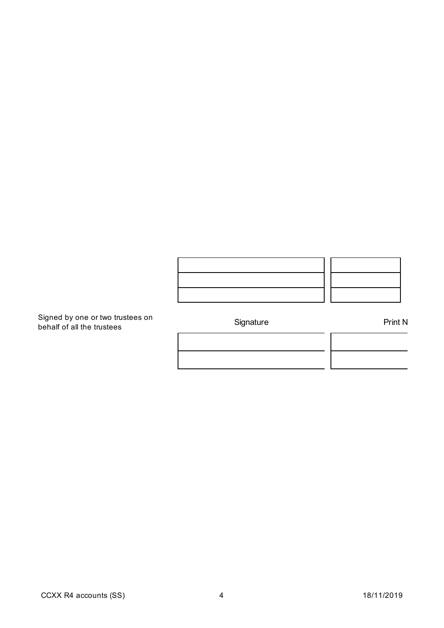

Signed by one or two trustees on behalf of all the trustees Signature Print Name

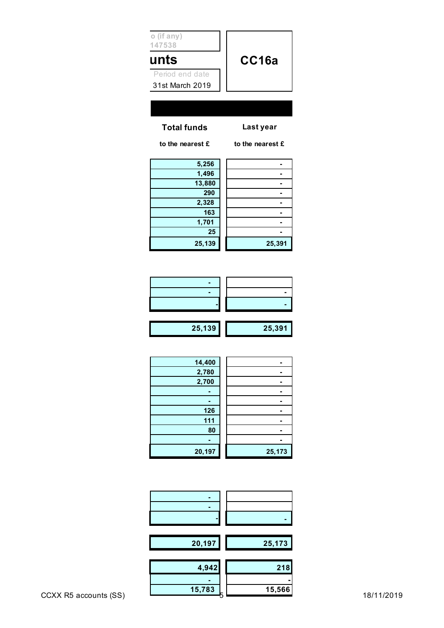| 20,197 | 25,173 |
|--------|--------|
| 4,942  | 218    |
| 15,783 | 15,566 |

| 126    |        |
|--------|--------|
| 111    |        |
| 80     |        |
|        |        |
| 20,197 | 25,173 |
|        |        |
|        |        |
|        |        |

 **-** 

| 14,400 |        |
|--------|--------|
| 2,780  |        |
| 2,700  |        |
|        |        |
|        |        |
| 126    |        |
| 111    |        |
| 80     |        |
|        |        |
| 20,197 | 25,173 |
|        |        |

| 25,139 | 25,391 |
|--------|--------|

| 20, 100 | 20, J |
|---------|-------|
|         |       |
|         |       |
|         |       |
|         |       |
|         |       |
|         |       |
|         |       |

| 5,256  |        |
|--------|--------|
| 1,496  |        |
| 13,880 |        |
| 290    |        |
| 2,328  |        |
| 163    |        |
| 1,701  |        |
| 25     |        |
| 25,139 | 25,391 |
|        |        |

**Total funds Last year**

**1147538**

**unts** 

**No (if any)**

**to the nearest £ to the nearest £**

**CC16a** 31st March 2019 Period end date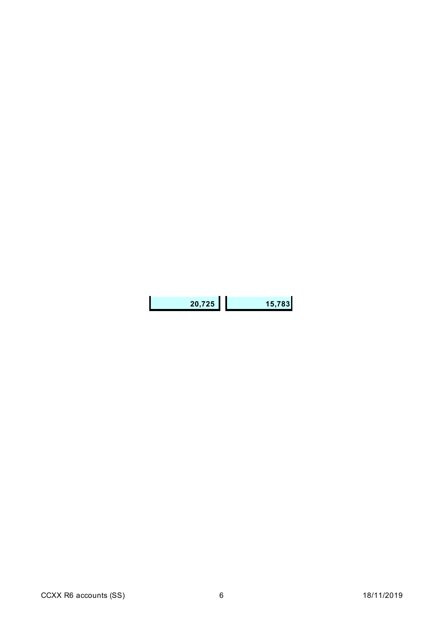| 20,725 | 15,783 |
|--------|--------|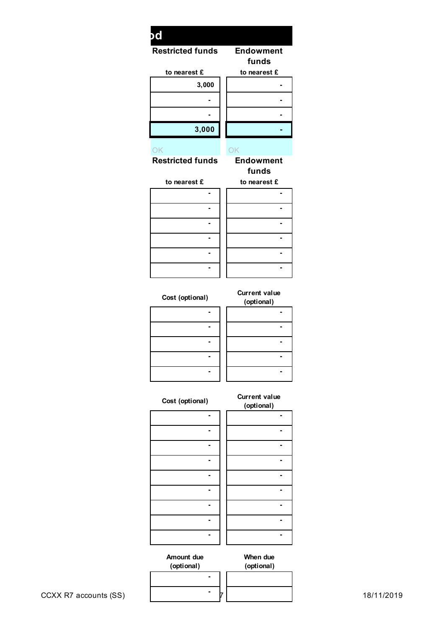| Endowment<br>funds<br>to nearest £<br>$\sim$ | DC                      |  |
|----------------------------------------------|-------------------------|--|
|                                              | <b>Restricted funds</b> |  |
|                                              | to nearest £            |  |
|                                              | 3,000                   |  |
| $\sim$                                       | $\blacksquare$          |  |
| ٠.                                           | $\blacksquare$          |  |
| $\sim$                                       | 3,000                   |  |
|                                              |                         |  |
| OK<br>__<br>$\sim$                           | OK                      |  |

# **Restricted funds Endowment funds**

| to nearest £ | to nearest £ |
|--------------|--------------|
|              |              |
|              |              |
|              |              |
|              |              |
|              |              |

 **- -** 

**Cost (optional) Current value** 

| (optional) |
|------------|
|            |
|            |
|            |
|            |
|            |

| (optional) |  |
|------------|--|
|            |  |
|            |  |
|            |  |
|            |  |
|            |  |

# **Cost (optional) Current value**

| (optional) |
|------------|
|            |
|            |
|            |
|            |
|            |
|            |
|            |
|            |
|            |
|            |

| (optional) |  |
|------------|--|
|            |  |
|            |  |
|            |  |
|            |  |
|            |  |
|            |  |
|            |  |
|            |  |
|            |  |
|            |  |

**When due (optional)**

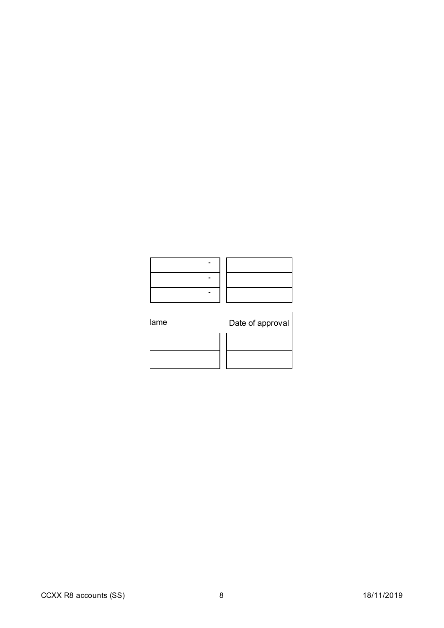# lame Date of approval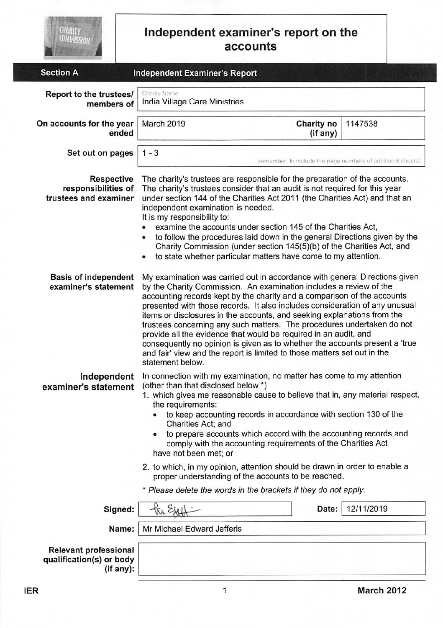| <b>CHARITY</b><br>COMMISSION                                                                     | Independent examiner's report on the<br>accounts                                                                                                                                                                                                                                                                                                                                                                                                                                                                                                                                                                                                                                               |                        |                                                              |  |
|--------------------------------------------------------------------------------------------------|------------------------------------------------------------------------------------------------------------------------------------------------------------------------------------------------------------------------------------------------------------------------------------------------------------------------------------------------------------------------------------------------------------------------------------------------------------------------------------------------------------------------------------------------------------------------------------------------------------------------------------------------------------------------------------------------|------------------------|--------------------------------------------------------------|--|
| <b>Section A</b>                                                                                 | <b>Independent Examiner's Report</b>                                                                                                                                                                                                                                                                                                                                                                                                                                                                                                                                                                                                                                                           |                        |                                                              |  |
| Report to the trustees/<br>members of                                                            | Charity Name<br>India Village Care Ministries                                                                                                                                                                                                                                                                                                                                                                                                                                                                                                                                                                                                                                                  |                        |                                                              |  |
| On accounts for the year<br>ended                                                                | March 2019                                                                                                                                                                                                                                                                                                                                                                                                                                                                                                                                                                                                                                                                                     | Charity no<br>(if any) | 1147538                                                      |  |
| Set out on pages                                                                                 | $1 - 3$                                                                                                                                                                                                                                                                                                                                                                                                                                                                                                                                                                                                                                                                                        |                        | (remember to include the page numbers of additional sheets). |  |
| <b>Respective</b><br>responsibilities of<br>trustees and examiner<br><b>Basis of independent</b> | The charity's trustees are responsible for the preparation of the accounts.<br>The charity's trustees consider that an audit is not required for this year<br>under section 144 of the Charities Act 2011 (the Charities Act) and that an<br>independent examination is needed.<br>It is my responsibility to:<br>examine the accounts under section 145 of the Charities Act,<br>to follow the procedures laid down in the general Directions given by the<br>۰<br>Charity Commission (under section 145(5)(b) of the Charities Act, and<br>to state whether particular matters have come to my attention.<br>۰<br>My examination was carried out in accordance with general Directions given |                        |                                                              |  |
| examiner's statement                                                                             | by the Charity Commission. An examination includes a review of the<br>accounting records kept by the charity and a comparison of the accounts<br>presented with those records. It also includes consideration of any unusual<br>items or disclosures in the accounts, and seeking explanations from the<br>trustees concerning any such matters. The procedures undertaken do not<br>provide all the evidence that would be required in an audit, and<br>consequently no opinion is given as to whether the accounts present a 'true<br>and fair' view and the report is limited to those matters set out in the<br>statement below.                                                           |                        |                                                              |  |
| Independent<br>examiner's statement                                                              | In connection with my examination, no matter has come to my attention<br>(other than that disclosed below *)<br>1. which gives me reasonable cause to believe that in, any material respect,<br>the requirements:<br>to keep accounting records in accordance with section 130 of the<br>Charities Act; and<br>to prepare accounts which accord with the accounting records and<br>comply with the accounting requirements of the Charities Act<br>have not been met; or                                                                                                                                                                                                                       |                        |                                                              |  |
|                                                                                                  | 2. to which, in my opinion, attention should be drawn in order to enable a<br>proper understanding of the accounts to be reached.                                                                                                                                                                                                                                                                                                                                                                                                                                                                                                                                                              |                        |                                                              |  |
|                                                                                                  | * Please delete the words in the brackets if they do not apply.                                                                                                                                                                                                                                                                                                                                                                                                                                                                                                                                                                                                                                |                        |                                                              |  |
| Signed:                                                                                          |                                                                                                                                                                                                                                                                                                                                                                                                                                                                                                                                                                                                                                                                                                | Date:                  | 12/11/2019                                                   |  |
| Name:                                                                                            | Mr Michael Edward Jefferis                                                                                                                                                                                                                                                                                                                                                                                                                                                                                                                                                                                                                                                                     |                        |                                                              |  |
| Relevant professional<br>qualification(s) or body<br>(if any):                                   |                                                                                                                                                                                                                                                                                                                                                                                                                                                                                                                                                                                                                                                                                                |                        |                                                              |  |